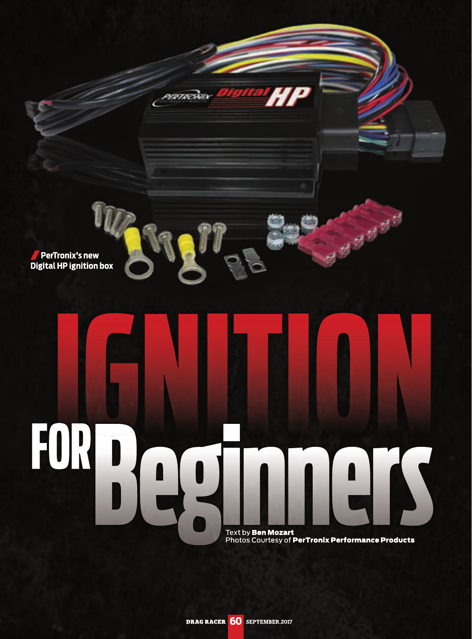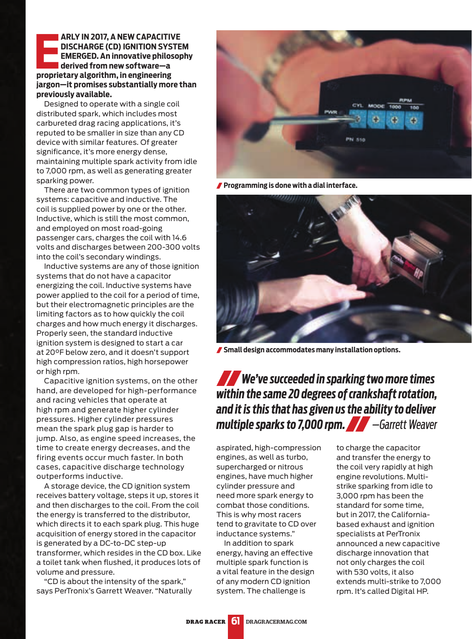## **EREN IN 2017, A NEW CAPACITIVE DISCHARGE (CD) IGNITION SYS<br>
EMERGED. An innovative philos<br>
derived from new software—a<br>
proprietary algorithm, in engineering ARLY IN 2017, A NEW CAPACITIVE DISCHARGE (CD) IGNITION SYSTEM EMERGED. An innovative philosophy derived from new software—a jargon—it promises substantially more than previously available.**

Designed to operate with a single coil distributed spark, which includes most carbureted drag racing applications, it's reputed to be smaller in size than any CD device with similar features. Of greater significance, it's more energy dense, maintaining multiple spark activity from idle to 7,000 rpm, as well as generating greater sparking power.

There are two common types of ignition systems: capacitive and inductive. The coil is supplied power by one or the other. Inductive, which is still the most common, and employed on most road-going passenger cars, charges the coil with 14.6 volts and discharges between 200-300 volts into the coil's secondary windings.

Inductive systems are any of those ignition systems that do not have a capacitor energizing the coil. Inductive systems have power applied to the coil for a period of time, but their electromagnetic principles are the limiting factors as to how quickly the coil charges and how much energy it discharges. Properly seen, the standard inductive ignition system is designed to start a car at 20°F below zero, and it doesn't support high compression ratios, high horsepower or high rpm.

Capacitive ignition systems, on the other hand, are developed for high-performance and racing vehicles that operate at high rpm and generate higher cylinder pressures. Higher cylinder pressures mean the spark plug gap is harder to jump. Also, as engine speed increases, the time to create energy decreases, and the firing events occur much faster. In both cases, capacitive discharge technology outperforms inductive.

A storage device, the CD ignition system receives battery voltage, steps it up, stores it and then discharges to the coil. From the coil the energy is transferred to the distributor, which directs it to each spark plug. This huge acquisition of energy stored in the capacitor is generated by a DC-to-DC step-up transformer, which resides in the CD box. Like a toilet tank when flushed, it produces lots of volume and pressure.

"CD is about the intensity of the spark," says PerTronix's Garrett Weaver. "Naturally



**Programming is done with a dial interface.**



**Small design accommodates many installation options.**

## *We've succeeded in sparking two more times within the same 20 degrees of crankshaft rotation, and it is this that has given us the ability to deliver multiple sparks to 7,000 rpm. —Garrett Weaver*

aspirated, high-compression engines, as well as turbo, supercharged or nitrous engines, have much higher cylinder pressure and need more spark energy to combat those conditions. This is why most racers tend to gravitate to CD over inductance systems."

In addition to spark energy, having an effective multiple spark function is a vital feature in the design of any modern CD ignition system. The challenge is

to charge the capacitor and transfer the energy to the coil very rapidly at high engine revolutions. Multistrike sparking from idle to 3,000 rpm has been the standard for some time, but in 2017, the Californiabased exhaust and ignition specialists at PerTronix announced a new capacitive discharge innovation that not only charges the coil with 530 volts, it also extends multi-strike to 7,000 rpm. It's called Digital HP.